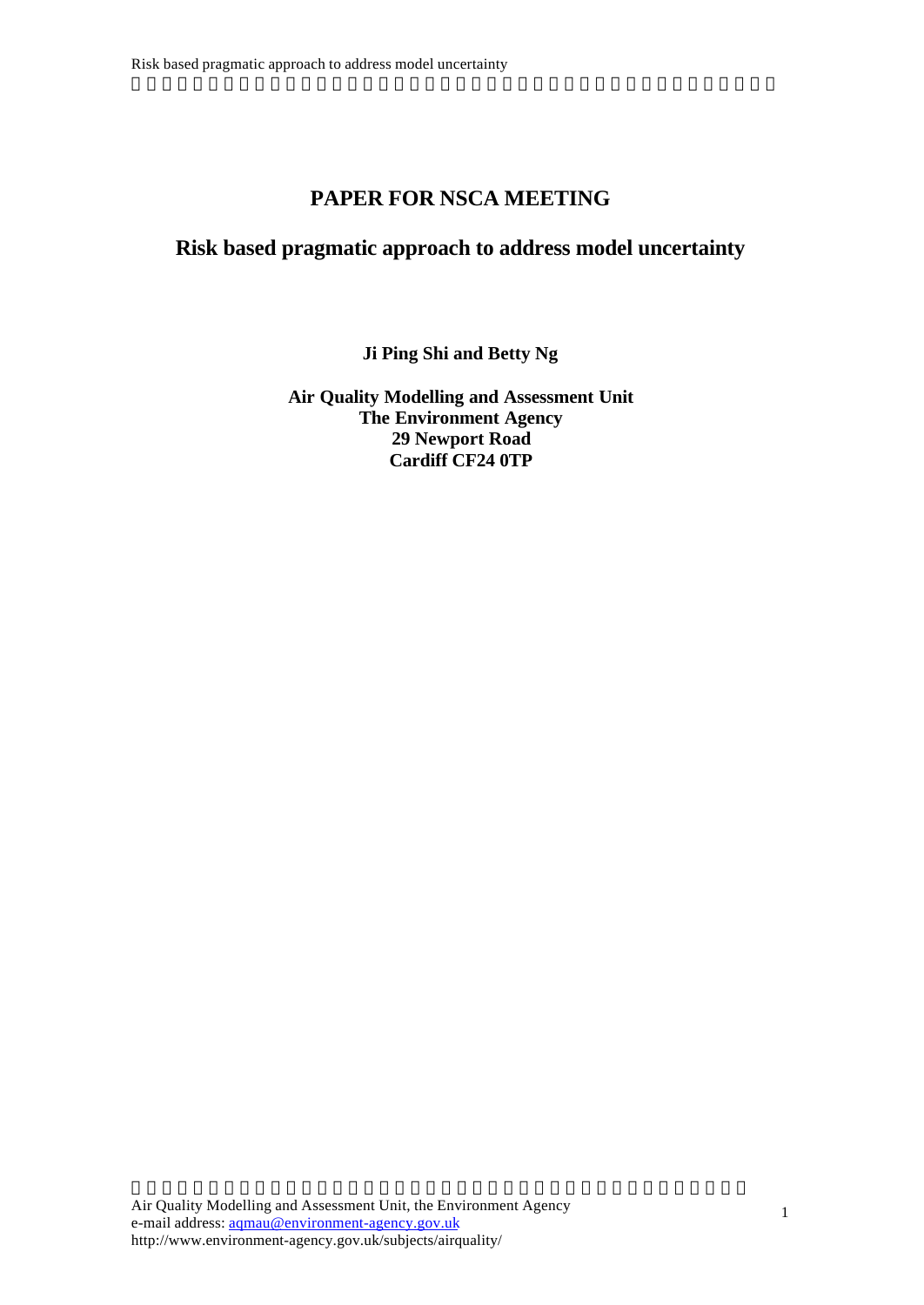# **PAPER FOR NSCA MEETING**

## **Risk based pragmatic approach to address model uncertainty**

**Ji Ping Shi and Betty Ng**

**Air Quality Modelling and Assessment Unit The Environment Agency 29 Newport Road Cardiff CF24 0TP**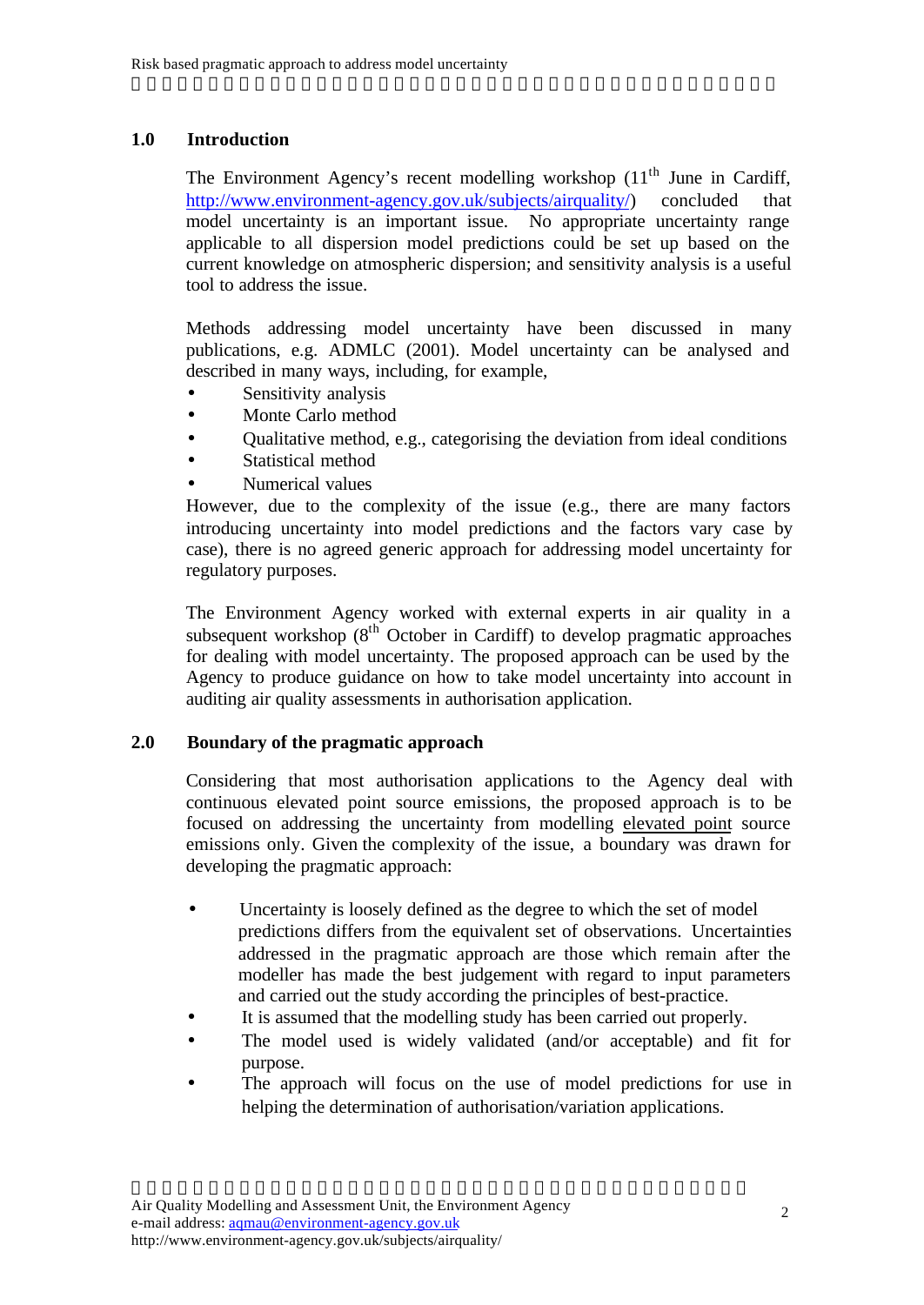## **1.0 Introduction**

The Environment Agency's recent modelling workshop (11<sup>th</sup> June in Cardiff, http://www.environment-agency.gov.uk/subjects/airquality/) concluded that model uncertainty is an important issue. No appropriate uncertainty range applicable to all dispersion model predictions could be set up based on the current knowledge on atmospheric dispersion; and sensitivity analysis is a useful tool to address the issue.

Methods addressing model uncertainty have been discussed in many publications, e.g. ADMLC (2001). Model uncertainty can be analysed and described in many ways, including, for example,

- Sensitivity analysis
- Monte Carlo method
- Qualitative method, e.g., categorising the deviation from ideal conditions
- Statistical method
- Numerical values

However, due to the complexity of the issue (e.g., there are many factors introducing uncertainty into model predictions and the factors vary case by case), there is no agreed generic approach for addressing model uncertainty for regulatory purposes.

The Environment Agency worked with external experts in air quality in a subsequent workshop  $(8^{th}$  October in Cardiff) to develop pragmatic approaches for dealing with model uncertainty. The proposed approach can be used by the Agency to produce guidance on how to take model uncertainty into account in auditing air quality assessments in authorisation application.

## **2.0 Boundary of the pragmatic approach**

Considering that most authorisation applications to the Agency deal with continuous elevated point source emissions, the proposed approach is to be focused on addressing the uncertainty from modelling elevated point source emissions only. Given the complexity of the issue, a boundary was drawn for developing the pragmatic approach:

- Uncertainty is loosely defined as the degree to which the set of model predictions differs from the equivalent set of observations. Uncertainties addressed in the pragmatic approach are those which remain after the modeller has made the best judgement with regard to input parameters and carried out the study according the principles of best-practice.
- It is assumed that the modelling study has been carried out properly.

- The model used is widely validated (and/or acceptable) and fit for purpose.
- The approach will focus on the use of model predictions for use in helping the determination of authorisation/variation applications.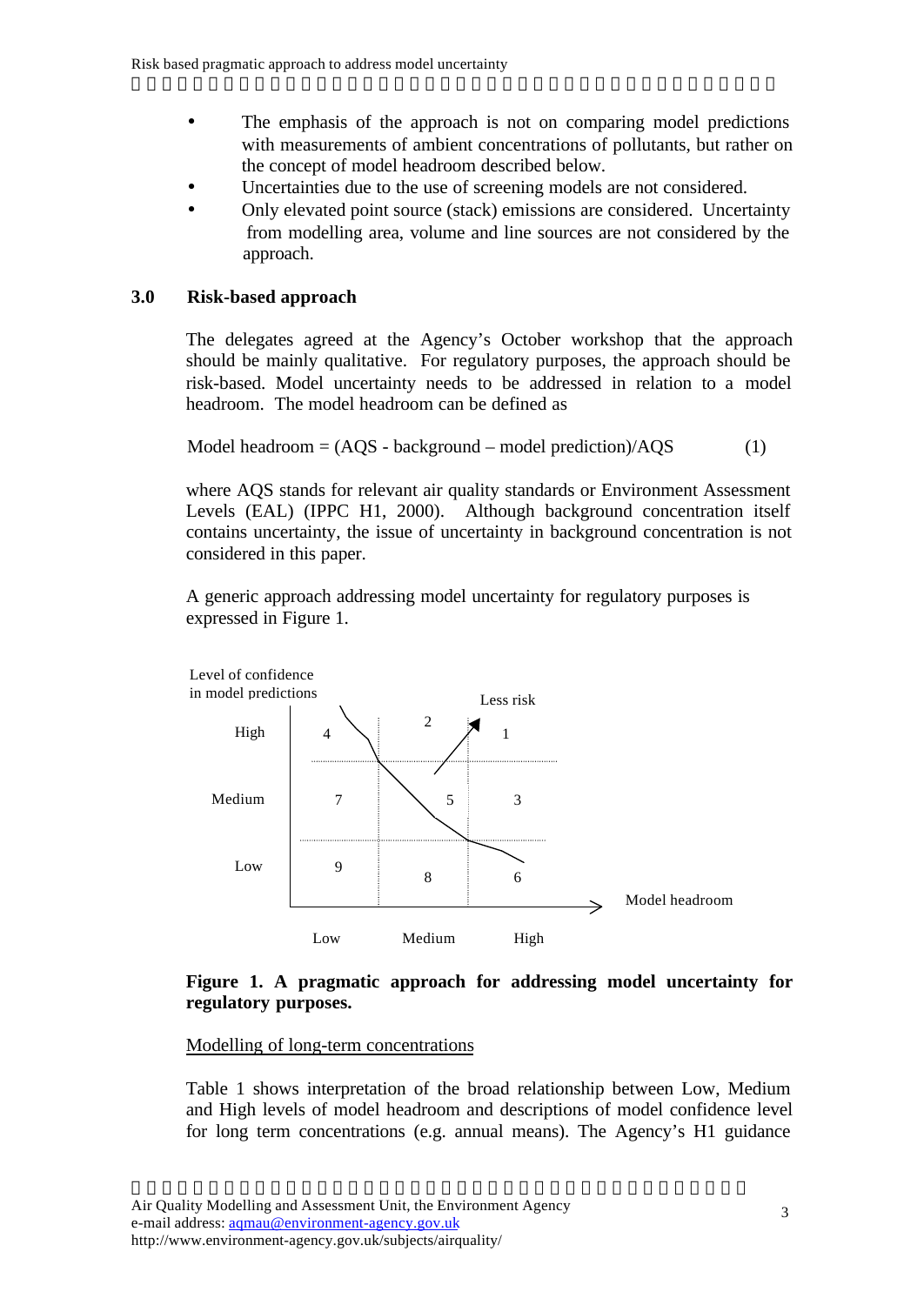- The emphasis of the approach is not on comparing model predictions with measurements of ambient concentrations of pollutants, but rather on the concept of model headroom described below.
- Uncertainties due to the use of screening models are not considered.

• Only elevated point source (stack) emissions are considered. Uncertainty from modelling area, volume and line sources are not considered by the approach.

## **3.0 Risk-based approach**

The delegates agreed at the Agency's October workshop that the approach should be mainly qualitative. For regulatory purposes, the approach should be risk-based. Model uncertainty needs to be addressed in relation to a model headroom. The model headroom can be defined as

Model headroom = 
$$
(AQS - background - model prediction)/AQS
$$
 (1)

where AQS stands for relevant air quality standards or Environment Assessment Levels (EAL) (IPPC H1, 2000). Although background concentration itself contains uncertainty, the issue of uncertainty in background concentration is not considered in this paper.

A generic approach addressing model uncertainty for regulatory purposes is expressed in Figure 1.



### **Figure 1. A pragmatic approach for addressing model uncertainty for regulatory purposes.**

#### Modelling of long-term concentrations

Table 1 shows interpretation of the broad relationship between Low, Medium and High levels of model headroom and descriptions of model confidence level for long term concentrations (e.g. annual means). The Agency's H1 guidance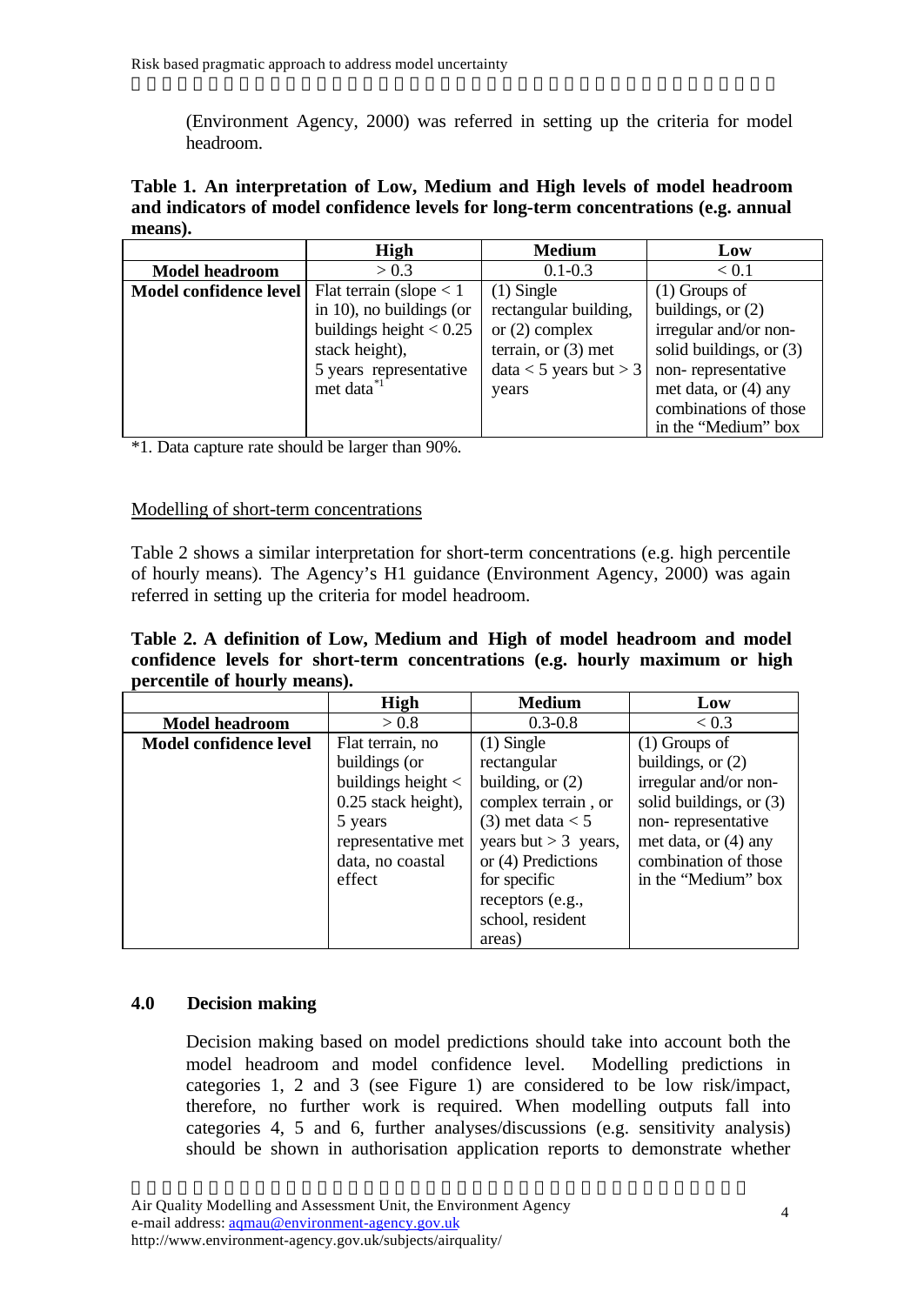(Environment Agency, 2000) was referred in setting up the criteria for model headroom.

**Table 1. An interpretation of Low, Medium and High levels of model headroom and indicators of model confidence levels for long-term concentrations (e.g. annual means).**

|                        | High                      | <b>Medium</b>            | Low                       |
|------------------------|---------------------------|--------------------------|---------------------------|
| <b>Model headroom</b>  | > 0.3                     | $0.1 - 0.3$              | < 0.1                     |
| Model confidence level | Flat terrain (slope $< 1$ | $(1)$ Single             | $(1)$ Groups of           |
|                        | in 10), no buildings (or  | rectangular building,    | buildings, or $(2)$       |
|                        | buildings height $< 0.25$ | or $(2)$ complex         | irregular and/or non-     |
|                        | stack height),            | terrain, or $(3)$ met    | solid buildings, or $(3)$ |
|                        | 5 years representative    | $data < 5$ years but > 3 | non-representative        |
|                        | met data <sup>*1</sup>    | years                    | met data, or $(4)$ any    |
|                        |                           |                          | combinations of those     |
|                        |                           |                          | in the "Medium" box       |

\*1. Data capture rate should be larger than 90%.

#### Modelling of short-term concentrations

Table 2 shows a similar interpretation for short-term concentrations (e.g. high percentile of hourly means). The Agency's H1 guidance (Environment Agency, 2000) was again referred in setting up the criteria for model headroom.

**Table 2. A definition of Low, Medium and High of model headroom and model confidence levels for short-term concentrations (e.g. hourly maximum or high percentile of hourly means).**

|                        | High                   | <b>Medium</b>          | Low                     |
|------------------------|------------------------|------------------------|-------------------------|
| <b>Model headroom</b>  | > 0.8                  | $0.3 - 0.8$            | < 0.3                   |
| Model confidence level | Flat terrain, no       | $(1)$ Single           | $(1)$ Groups of         |
|                        | buildings (or          | rectangular            | buildings, or $(2)$     |
|                        | buildings height $\lt$ | building, or $(2)$     | irregular and/or non-   |
|                        | 0.25 stack height),    | complex terrain, or    | solid buildings, or (3) |
|                        | 5 years                | $(3)$ met data $< 5$   | non-representative      |
|                        | representative met     | years but $>$ 3 years, | met data, or (4) any    |
|                        | data, no coastal       | or (4) Predictions     | combination of those    |
|                        | effect                 | for specific           | in the "Medium" box     |
|                        |                        | receptors (e.g.,       |                         |
|                        |                        | school, resident       |                         |
|                        |                        | areas)                 |                         |

#### **4.0 Decision making**

Decision making based on model predictions should take into account both the model headroom and model confidence level. Modelling predictions in categories 1, 2 and 3 (see Figure 1) are considered to be low risk/impact, therefore, no further work is required. When modelling outputs fall into categories 4, 5 and 6, further analyses/discussions (e.g. sensitivity analysis) should be shown in authorisation application reports to demonstrate whether

Air Quality Modelling and Assessment Unit, the Environment Agency e-mail address: aqmau@environment-agency.gov.uk http://www.environment-agency.gov.uk/subjects/airquality/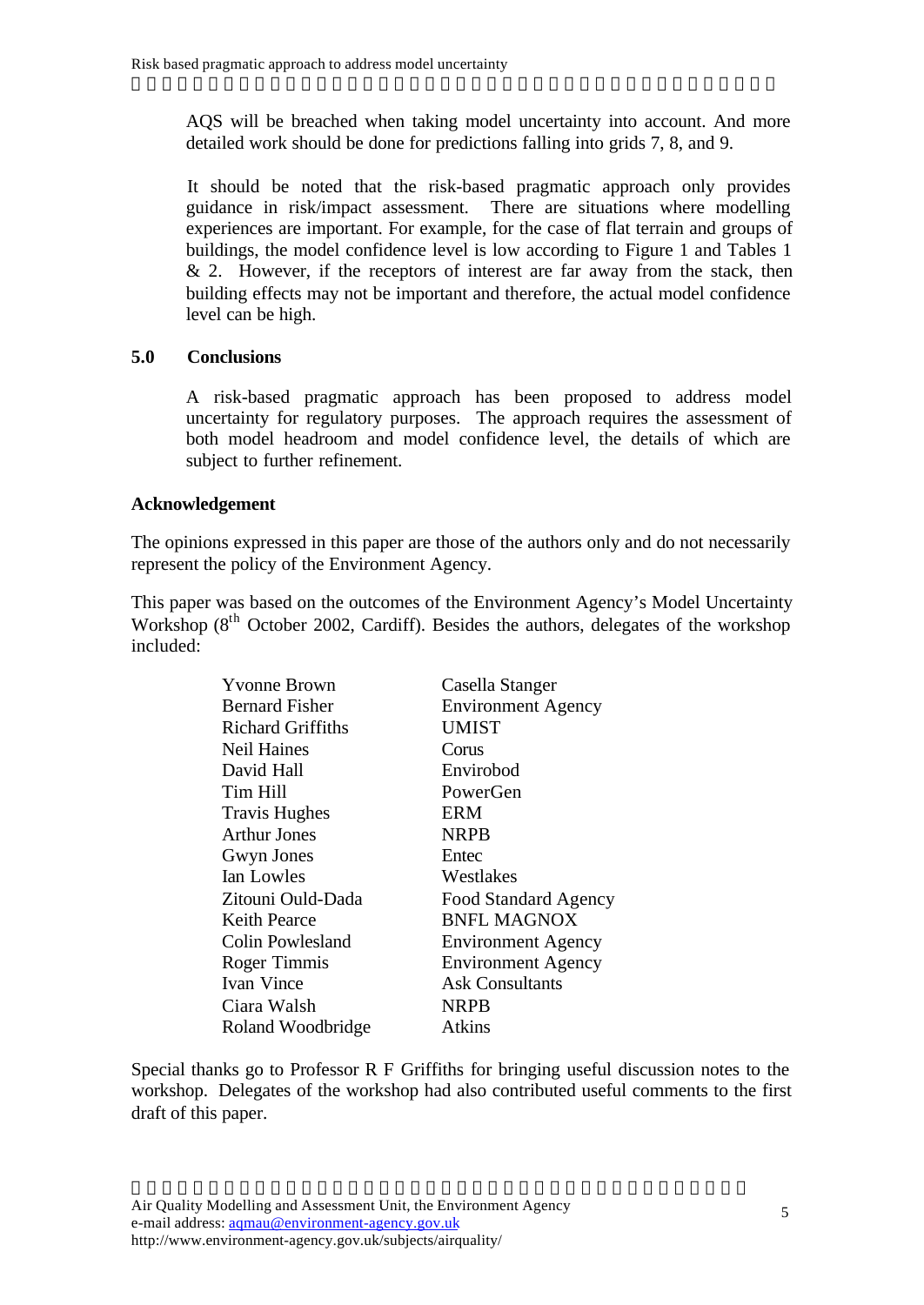AQS will be breached when taking model uncertainty into account. And more detailed work should be done for predictions falling into grids 7, 8, and 9.

It should be noted that the risk-based pragmatic approach only provides guidance in risk/impact assessment. There are situations where modelling experiences are important. For example, for the case of flat terrain and groups of buildings, the model confidence level is low according to Figure 1 and Tables 1  $& 2.$  However, if the receptors of interest are far away from the stack, then building effects may not be important and therefore, the actual model confidence level can be high.

### **5.0 Conclusions**

A risk-based pragmatic approach has been proposed to address model uncertainty for regulatory purposes. The approach requires the assessment of both model headroom and model confidence level, the details of which are subject to further refinement.

#### **Acknowledgement**

The opinions expressed in this paper are those of the authors only and do not necessarily represent the policy of the Environment Agency.

This paper was based on the outcomes of the Environment Agency's Model Uncertainty Workshop  $(8<sup>th</sup> October 2002, Cardiff)$ . Besides the authors, delegates of the workshop included:

| Casella Stanger             |  |
|-----------------------------|--|
| <b>Environment Agency</b>   |  |
| <b>UMIST</b>                |  |
| Corus                       |  |
| Envirobod                   |  |
| PowerGen                    |  |
| ERM                         |  |
| NRPB                        |  |
| Entec                       |  |
| Westlakes                   |  |
| <b>Food Standard Agency</b> |  |
| <b>BNFL MAGNOX</b>          |  |
| <b>Environment Agency</b>   |  |
| <b>Environment Agency</b>   |  |
| Ask Consultants             |  |
| NRPB                        |  |
| Atkins                      |  |
|                             |  |

Special thanks go to Professor R F Griffiths for bringing useful discussion notes to the workshop. Delegates of the workshop had also contributed useful comments to the first draft of this paper.

Air Quality Modelling and Assessment Unit, the Environment Agency e-mail address: aqmau@environment-agency.gov.uk http://www.environment-agency.gov.uk/subjects/airquality/